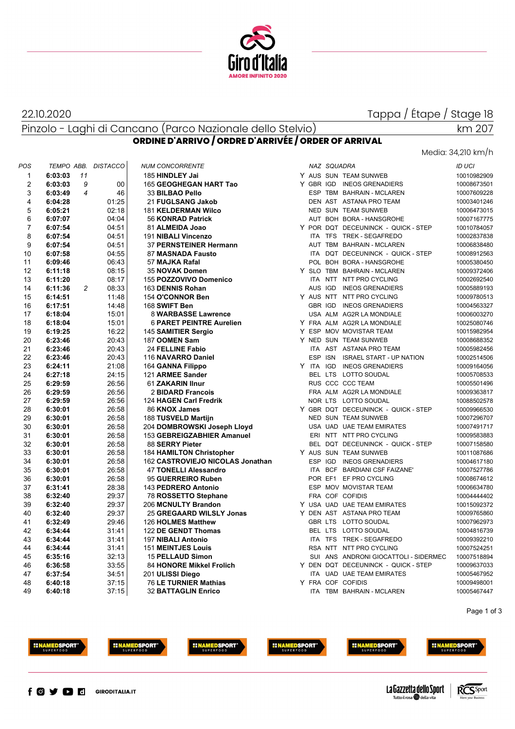

22.10.2020

Tappa / Étape / Stage 18

#### Pinzolo - Laghi di Cancano (Parco Nazionale dello Stelvio) **ORDINE D'ARRIVO / ORDRE D'ARRIVÉE / ORDER OF ARRIVAL**

# Media: 34,210 km/h

km 207

|                |                     |                |       |                                  |  |             |                                       | MEUIU. 34,ZIU KITI/TI |
|----------------|---------------------|----------------|-------|----------------------------------|--|-------------|---------------------------------------|-----------------------|
| POS            | TEMPO ABB. DISTACCO |                |       | <b>NUM CONCORRENTE</b>           |  | NAZ SQUADRA |                                       | <b>ID UCI</b>         |
| $\mathbf{1}$   | 6:03:03             | 11             |       | 185 HINDLEY Jai                  |  |             | Y AUS SUN TEAM SUNWEB                 | 10010982909           |
| $\overline{2}$ | 6:03:03             | 9              | 00    | 165 GEOGHEGAN HART Tao           |  |             | Y GBR IGD INEOS GRENADIERS            | 10008673501           |
| 3              | 6:03:49             | $\overline{4}$ | 46    | 33 BILBAO Pello                  |  |             | ESP TBM BAHRAIN - MCLAREN             | 10007609228           |
| 4              | 6:04:28             |                | 01:25 | 21 FUGLSANG Jakob                |  |             | DEN AST ASTANA PRO TEAM               | 10003401246           |
| 5              | 6:05:21             |                | 02:18 | 181 KELDERMAN Wilco              |  |             | <b>NED SUN TEAM SUNWEB</b>            | 10006473015           |
| 6              | 6:07:07             |                | 04:04 | 56 KONRAD Patrick                |  |             | AUT BOH BORA - HANSGROHE              | 10007167775           |
| $\overline{7}$ | 6:07:54             |                | 04:51 | 81 ALMEIDA Joao                  |  |             | Y POR DQT DECEUNINCK - QUICK - STEP   | 10010784057           |
| 8              | 6:07:54             |                | 04:51 | 191 NIBALI Vincenzo              |  |             | ITA TFS TREK - SEGAFREDO              | 10002837838           |
| 9              | 6:07:54             |                | 04:51 | 37 PERNSTEINER Hermann           |  |             | AUT TBM BAHRAIN - MCLAREN             | 10006838480           |
| 10             | 6:07:58             |                | 04:55 | 87 MASNADA Fausto                |  |             | ITA DQT DECEUNINCK - QUICK - STEP     | 10008912563           |
| 11             | 6:09:46             |                | 06:43 | 57 MAJKA Rafal                   |  |             | POL BOH BORA - HANSGROHE              | 10005380450           |
| 12             | 6:11:18             |                | 08:15 | 35 NOVAK Domen                   |  |             | Y SLO TBM BAHRAIN - MCLAREN           | 10009372406           |
| 13             | 6:11:20             |                | 08:17 | 155 POZZOVIVO Domenico           |  |             | ITA NTT NTT PRO CYCLING               | 10002692540           |
| 14             | 6:11:36             | 2              | 08:33 | 163 DENNIS Rohan                 |  |             | AUS IGD INEOS GRENADIERS              | 10005889193           |
| 15             | 6:14:51             |                | 11:48 | 154 O'CONNOR Ben                 |  |             | Y AUS NTT NTT PRO CYCLING             | 10009780513           |
| 16             | 6:17:51             |                | 14:48 | 168 SWIFT Ben                    |  |             | GBR IGD INEOS GRENADIERS              | 10004563327           |
| 17             | 6:18:04             |                | 15:01 | 8 WARBASSE Lawrence              |  |             | USA ALM AG2R LA MONDIALE              | 10006003270           |
| 18             | 6:18:04             |                | 15:01 | <b>6 PARET PEINTRE Aurelien</b>  |  |             | Y FRA ALM AG2R LA MONDIALE            | 10025080746           |
| 19             | 6:19:25             |                | 16:22 | 145 SAMITIER Sergio              |  |             | Y ESP MOV MOVISTAR TEAM               | 10015982954           |
| 20             | 6:23:46             |                | 20:43 | 187 OOMEN Sam                    |  |             | Y NED SUN TEAM SUNWEB                 | 10008688352           |
| 21             | 6:23:46             |                | 20:43 | 24 FELLINE Fabio                 |  |             | ITA AST ASTANA PRO TEAM               | 10005982456           |
| 22             | 6:23:46             |                | 20:43 | 116 NAVARRO Daniel               |  |             | ESP ISN ISRAEL START - UP NATION      | 10002514506           |
| 23             | 6:24:11             |                | 21:08 | 164 GANNA Filippo                |  |             | Y ITA IGD INEOS GRENADIERS            | 10009164056           |
| 24             | 6:27:18             |                | 24:15 | 121 ARMEE Sander                 |  |             | BEL LTS LOTTO SOUDAL                  | 10005708533           |
| 25             | 6:29:59             |                | 26:56 | 61 ZAKARIN IInur                 |  |             | RUS CCC CCC TEAM                      | 10005501496           |
| 26             | 6:29:59             |                | 26:56 | 2 BIDARD Francois                |  |             | FRA ALM AG2R LA MONDIALE              | 10009363817           |
| 27             | 6:29:59             |                | 26:56 | 124 HAGEN Carl Fredrik           |  |             | NOR LTS LOTTO SOUDAL                  | 10088502578           |
| 28             | 6:30:01             |                | 26:58 | 86 KNOX James                    |  |             | Y GBR DQT DECEUNINCK - QUICK - STEP   | 10009966530           |
| 29             | 6:30:01             |                | 26:58 | 188 TUSVELD Martijn              |  |             | NED SUN TEAM SUNWEB                   | 10007296707           |
| 30             | 6:30:01             |                | 26:58 | 204 DOMBROWSKI Joseph Lloyd      |  |             | USA UAD UAE TEAM EMIRATES             | 10007491717           |
| 31             | 6:30:01             |                | 26:58 | 153 GEBREIGZABHIER Amanuel       |  |             | ERI NTT NTT PRO CYCLING               | 10009583883           |
| 32             | 6:30:01             |                | 26:58 | 88 SERRY Pieter                  |  |             | BEL DQT DECEUNINCK - QUICK - STEP     | 10007158580           |
| 33             | 6:30:01             |                | 26:58 | <b>184 HAMILTON Christopher</b>  |  |             | Y AUS SUN TEAM SUNWEB                 | 10011087686           |
| 34             | 6:30:01             |                | 26:58 | 162 CASTROVIEJO NICOLAS Jonathan |  | ESP IGD     | <b>INEOS GRENADIERS</b>               | 10004617180           |
| 35             | 6:30:01             |                | 26:58 | <b>47 TONELLI Alessandro</b>     |  |             | ITA BCF BARDIANI CSF FAIZANE'         | 10007527786           |
| 36             | 6:30:01             |                | 26:58 | 95 GUERREIRO Ruben               |  |             | POR EF1 EF PRO CYCLING                | 10008674612           |
| 37             | 6:31:41             |                | 28:38 | 143 PEDRERO Antonio              |  |             | ESP MOV MOVISTAR TEAM                 | 10006634780           |
| 38             | 6:32:40             |                | 29:37 | 78 ROSSETTO Stephane             |  |             | FRA COF COFIDIS                       | 10004444402           |
| 39             | 6:32:40             |                | 29:37 | 206 MCNULTY Brandon              |  |             | Y USA UAD UAE TEAM EMIRATES           | 10015092372           |
| 40             | 6:32:40             |                | 29:37 | 25 GREGAARD WILSLY Jonas         |  |             | Y DEN AST ASTANA PRO TEAM             | 10009765860           |
| 41             | 6:32:49             |                | 29:46 | 126 HOLMES Matthew               |  |             | GBR LTS LOTTO SOUDAL                  | 10007962973           |
| 42             | 6:34:44             |                | 31:41 | 122 DE GENDT Thomas              |  |             | BEL LTS LOTTO SOUDAL                  | 10004816739           |
| 43             | 6:34:44             |                | 31:41 | <b>197 NIBALI Antonio</b>        |  |             | ITA TFS TREK - SEGAFREDO              | 10009392210           |
| 44             | 6:34:44             |                | 31:41 | <b>151 MEINTJES Louis</b>        |  |             | RSA NTT NTT PRO CYCLING               | 10007524251           |
| 45             | 6:35:16             |                | 32:13 | <b>15 PELLAUD Simon</b>          |  |             | SUI ANS ANDRONI GIOCATTOLI - SIDERMEC | 10007518894           |
| 46             | 6:36:58             |                | 33:55 | 84 HONORE Mikkel Frolich         |  |             | Y DEN DQT DECEUNINCK - QUICK - STEP   | 10009637033           |
| 47             | 6:37:54             |                | 34:51 | 201 ULISSI Diego                 |  |             | ITA UAD UAE TEAM EMIRATES             | 10005467952           |
| 48             | 6:40:18             |                | 37:15 | 76 LE TURNIER Mathias            |  |             | Y FRA COF COFIDIS                     | 10009498001           |
| 49             | 6:40:18             |                | 37:15 | <b>32 BATTAGLIN Enrico</b>       |  |             | ITA TBM BAHRAIN - MCLAREN             | 10005467447           |
|                |                     |                |       |                                  |  |             |                                       |                       |

Page 1 of 3







**INAMEDSPORT** 







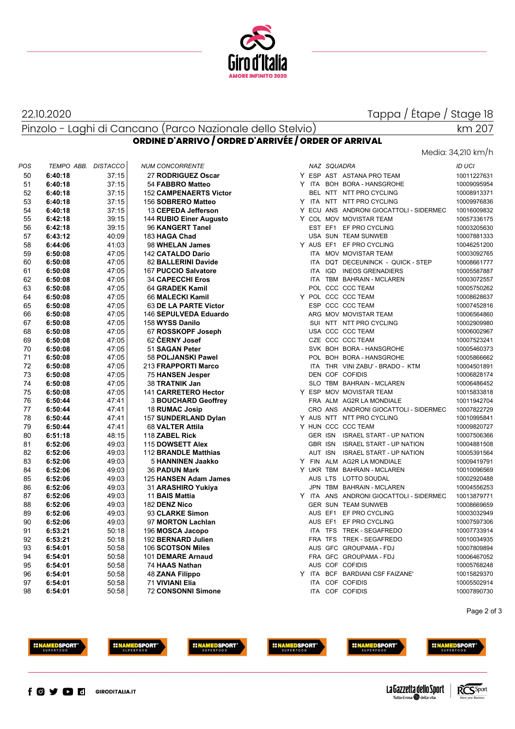

### 22.10.2020

Pinzolo - Laghi di Cancano (Parco Nazionale dello Stelvio)

### Tappa / Étape / Stage 18

# km 207

Media: 34,210 km/h

### **ORDINE D'ARRIVO / ORDRE D'ARRIVÉE / ORDER OF ARRIVAL**

| 50<br>37:15<br>Y ESP AST ASTANA PRO TEAM<br>6:40:18<br>27 RODRIGUEZ Oscar<br>51<br>37:15<br>Y ITA BOH BORA - HANSGROHE<br>6:40:18<br>54 FABBRO Matteo<br>52<br>37:15<br>BEL NTT NTT PRO CYCLING<br>6:40:18<br><b>152 CAMPENAERTS Victor</b><br>53<br>37:15<br>Y ITA NTT NTT PRO CYCLING<br>156 SOBRERO Matteo<br>6:40:18<br>54<br>37:15<br>Y ECU ANS ANDRONI GIOCATTOLI - SIDERMEC<br>13 CEPEDA Jefferson<br>6:40:18<br>Y COL MOV MOVISTAR TEAM<br>55<br>6:42:18<br>39:15<br>144 RUBIO Einer Augusto<br>56<br>39:15<br>EST EF1 EF PRO CYCLING<br>6:42:18<br>96 KANGERT Tanel<br>57<br>40:09<br>183 HAGA Chad<br>USA SUN TEAM SUNWEB<br>6:43:12<br>58<br>41:03<br>Y AUS EF1 EF PRO CYCLING<br>6:44:06<br>98 WHELAN James<br>59<br>47:05<br>6:50:08<br>142 CATALDO Dario<br>ITA MOV MOVISTAR TEAM<br>47:05<br>60<br>6:50:08<br>82 BALLERINI Davide<br>ITA DQT DECEUNINCK - QUICK - STEP<br>61<br>47:05<br>6:50:08<br>167 PUCCIO Salvatore<br>ITA IGD INEOS GRENADIERS<br>62<br>47:05<br>ITA TBM BAHRAIN - MCLAREN<br>6:50:08<br><b>34 CAPECCHI Eros</b><br>63<br>47:05<br>POL CCC CCC TEAM<br>6:50:08<br>64 GRADEK Kamil<br>Y POL CCC CCC TEAM<br>64<br>47:05<br>6:50:08<br>66 MALECKI Kamil<br>65<br>ESP CCC CCC TEAM<br>47:05<br>6:50:08<br>63 DE LA PARTE Victor<br>66<br>47:05<br>ARG MOV MOVISTAR TEAM<br>6:50:08<br>146 SEPULVEDA Eduardo<br>67<br>47:05<br>SUI NTT NTT PRO CYCLING<br>6:50:08<br>158 WYSS Danilo<br>68<br>47:05<br>67 ROSSKOPF Joseph<br>USA CCC CCC TEAM<br>6:50:08<br>69<br>47:05<br>62 ČERNY Josef<br>CZE CCC CCC TEAM<br>6:50:08<br>70<br>47:05<br>51 SAGAN Peter<br>SVK BOH BORA - HANSGROHE<br>6:50:08<br>71<br>47:05<br>POL BOH BORA - HANSGROHE<br>6:50:08<br>58 POLJANSKI Pawel<br>72<br>47:05<br>213 FRAPPORTI Marco<br>ITA THR VINI ZABU' - BRADO - KTM<br>6:50:08<br>73<br>DEN COF COFIDIS<br>47:05<br>6:50:08<br><b>75 HANSEN Jesper</b><br>74<br>47:05<br>6:50:08<br>38 TRATNIK Jan<br>SLO TBM BAHRAIN - MCLAREN<br>75<br>47:05<br>Y ESP MOV MOVISTAR TEAM<br>6:50:08<br>141 CARRETERO Hector<br>76<br>6:50:44<br>47:41<br><b>3 BOUCHARD Geoffrey</b><br>FRA ALM AG2R LA MONDIALE<br>77<br>47:41<br>CRO ANS ANDRONI GIOCATTOLI - SIDERMEC<br>6:50:44<br>18 RUMAC Josip<br>78<br>47:41<br>Y AUS NTT NTT PRO CYCLING<br>6:50:44<br>157 SUNDERLAND Dylan<br>Y HUN CCC CCC TEAM<br>79<br>47:41<br>6:50:44<br>68 VALTER Attila<br>80<br>48:15<br>6:51:18<br>118 ZABEL Rick<br>GER ISN ISRAEL START - UP NATION<br>81<br>49:03<br>GBR ISN ISRAEL START - UP NATION<br>6:52:06<br>115 DOWSETT Alex<br>82<br>49:03<br>AUT ISN ISRAEL START - UP NATION<br>6:52:06<br>112 BRANDLE Matthias<br>83<br>49:03<br>Y FIN ALM AG2R LA MONDIALE<br>6:52:06<br>5 HANNINEN Jaakko<br>84<br>Y UKR TBM BAHRAIN - MCLAREN<br>49:03<br><b>36 PADUN Mark</b><br>6:52:06<br>85<br>6:52:06<br>49:03<br>AUS LTS LOTTO SOUDAL<br>125 HANSEN Adam James<br>86<br>49:03<br>JPN TBM BAHRAIN - MCLAREN<br>6:52:06<br>31 ARASHIRO Yukiya<br>87<br>49:03<br>Y ITA ANS ANDRONI GIOCATTOLI - SIDERMEC<br>6:52:06<br>11 BAIS Mattia<br>88<br>49:03<br>GER SUN TEAM SUNWEB<br>6:52:06<br>182 DENZ Nico<br>89<br>49:03<br>AUS EF1 EF PRO CYCLING<br>6:52:06<br>93 CLARKE Simon<br>90<br>49:03<br>AUS EF1 EF PRO CYCLING<br>6:52:06<br>97 MORTON Lachlan<br>91<br>50:18<br>ITA TFS TREK - SEGAFREDO<br>6:53:21<br>196 MOSCA Jacopo<br>92<br>50:18<br>FRA TFS TREK - SEGAFREDO<br>6:53:21<br>192 BERNARD Julien<br>93<br>AUS GFC GROUPAMA - FDJ<br>6:54:01<br>50:58<br>106 SCOTSON Miles<br>94<br>FRA GFC GROUPAMA - FDJ<br>50:58<br>6:54:01<br>101 DEMARE Arnaud<br>AUS COF COFIDIS<br>95<br>50:58<br>6:54:01<br>74 HAAS Nathan<br>96<br>50:58<br>Y ITA BCF BARDIANI CSF FAIZANE'<br>6:54:01<br><b>48 ZANA Filippo</b><br>ITA COF COFIDIS<br>97<br>50:58<br>71 VIVIANI Elia<br>6:54:01<br>98<br>50:58<br><b>72 CONSONNI Simone</b><br>ITA COF COFIDIS<br>6:54:01 | POS | TEMPO ABB. DISTACCO | <b>NUM CONCORRENTE</b> |  | NAZ SQUADRA |  | <b>ID UCI</b> |
|-------------------------------------------------------------------------------------------------------------------------------------------------------------------------------------------------------------------------------------------------------------------------------------------------------------------------------------------------------------------------------------------------------------------------------------------------------------------------------------------------------------------------------------------------------------------------------------------------------------------------------------------------------------------------------------------------------------------------------------------------------------------------------------------------------------------------------------------------------------------------------------------------------------------------------------------------------------------------------------------------------------------------------------------------------------------------------------------------------------------------------------------------------------------------------------------------------------------------------------------------------------------------------------------------------------------------------------------------------------------------------------------------------------------------------------------------------------------------------------------------------------------------------------------------------------------------------------------------------------------------------------------------------------------------------------------------------------------------------------------------------------------------------------------------------------------------------------------------------------------------------------------------------------------------------------------------------------------------------------------------------------------------------------------------------------------------------------------------------------------------------------------------------------------------------------------------------------------------------------------------------------------------------------------------------------------------------------------------------------------------------------------------------------------------------------------------------------------------------------------------------------------------------------------------------------------------------------------------------------------------------------------------------------------------------------------------------------------------------------------------------------------------------------------------------------------------------------------------------------------------------------------------------------------------------------------------------------------------------------------------------------------------------------------------------------------------------------------------------------------------------------------------------------------------------------------------------------------------------------------------------------------------------------------------------------------------------------------------------------------------------------------------------------------------------------------------------------------------------------------------------------------------------------------------------------------------------------------------------------------------------------------------------------------------------------------------------------------------------------------------------------------------------------------------------------------------------------------------------------|-----|---------------------|------------------------|--|-------------|--|---------------|
|                                                                                                                                                                                                                                                                                                                                                                                                                                                                                                                                                                                                                                                                                                                                                                                                                                                                                                                                                                                                                                                                                                                                                                                                                                                                                                                                                                                                                                                                                                                                                                                                                                                                                                                                                                                                                                                                                                                                                                                                                                                                                                                                                                                                                                                                                                                                                                                                                                                                                                                                                                                                                                                                                                                                                                                                                                                                                                                                                                                                                                                                                                                                                                                                                                                                                                                                                                                                                                                                                                                                                                                                                                                                                                                                                                                                                                                             |     |                     |                        |  |             |  | 10011227631   |
|                                                                                                                                                                                                                                                                                                                                                                                                                                                                                                                                                                                                                                                                                                                                                                                                                                                                                                                                                                                                                                                                                                                                                                                                                                                                                                                                                                                                                                                                                                                                                                                                                                                                                                                                                                                                                                                                                                                                                                                                                                                                                                                                                                                                                                                                                                                                                                                                                                                                                                                                                                                                                                                                                                                                                                                                                                                                                                                                                                                                                                                                                                                                                                                                                                                                                                                                                                                                                                                                                                                                                                                                                                                                                                                                                                                                                                                             |     |                     |                        |  |             |  | 10009095954   |
|                                                                                                                                                                                                                                                                                                                                                                                                                                                                                                                                                                                                                                                                                                                                                                                                                                                                                                                                                                                                                                                                                                                                                                                                                                                                                                                                                                                                                                                                                                                                                                                                                                                                                                                                                                                                                                                                                                                                                                                                                                                                                                                                                                                                                                                                                                                                                                                                                                                                                                                                                                                                                                                                                                                                                                                                                                                                                                                                                                                                                                                                                                                                                                                                                                                                                                                                                                                                                                                                                                                                                                                                                                                                                                                                                                                                                                                             |     |                     |                        |  |             |  | 10008913371   |
|                                                                                                                                                                                                                                                                                                                                                                                                                                                                                                                                                                                                                                                                                                                                                                                                                                                                                                                                                                                                                                                                                                                                                                                                                                                                                                                                                                                                                                                                                                                                                                                                                                                                                                                                                                                                                                                                                                                                                                                                                                                                                                                                                                                                                                                                                                                                                                                                                                                                                                                                                                                                                                                                                                                                                                                                                                                                                                                                                                                                                                                                                                                                                                                                                                                                                                                                                                                                                                                                                                                                                                                                                                                                                                                                                                                                                                                             |     |                     |                        |  |             |  | 10009976836   |
|                                                                                                                                                                                                                                                                                                                                                                                                                                                                                                                                                                                                                                                                                                                                                                                                                                                                                                                                                                                                                                                                                                                                                                                                                                                                                                                                                                                                                                                                                                                                                                                                                                                                                                                                                                                                                                                                                                                                                                                                                                                                                                                                                                                                                                                                                                                                                                                                                                                                                                                                                                                                                                                                                                                                                                                                                                                                                                                                                                                                                                                                                                                                                                                                                                                                                                                                                                                                                                                                                                                                                                                                                                                                                                                                                                                                                                                             |     |                     |                        |  |             |  | 10016009832   |
|                                                                                                                                                                                                                                                                                                                                                                                                                                                                                                                                                                                                                                                                                                                                                                                                                                                                                                                                                                                                                                                                                                                                                                                                                                                                                                                                                                                                                                                                                                                                                                                                                                                                                                                                                                                                                                                                                                                                                                                                                                                                                                                                                                                                                                                                                                                                                                                                                                                                                                                                                                                                                                                                                                                                                                                                                                                                                                                                                                                                                                                                                                                                                                                                                                                                                                                                                                                                                                                                                                                                                                                                                                                                                                                                                                                                                                                             |     |                     |                        |  |             |  | 10057336175   |
|                                                                                                                                                                                                                                                                                                                                                                                                                                                                                                                                                                                                                                                                                                                                                                                                                                                                                                                                                                                                                                                                                                                                                                                                                                                                                                                                                                                                                                                                                                                                                                                                                                                                                                                                                                                                                                                                                                                                                                                                                                                                                                                                                                                                                                                                                                                                                                                                                                                                                                                                                                                                                                                                                                                                                                                                                                                                                                                                                                                                                                                                                                                                                                                                                                                                                                                                                                                                                                                                                                                                                                                                                                                                                                                                                                                                                                                             |     |                     |                        |  |             |  | 10003205630   |
|                                                                                                                                                                                                                                                                                                                                                                                                                                                                                                                                                                                                                                                                                                                                                                                                                                                                                                                                                                                                                                                                                                                                                                                                                                                                                                                                                                                                                                                                                                                                                                                                                                                                                                                                                                                                                                                                                                                                                                                                                                                                                                                                                                                                                                                                                                                                                                                                                                                                                                                                                                                                                                                                                                                                                                                                                                                                                                                                                                                                                                                                                                                                                                                                                                                                                                                                                                                                                                                                                                                                                                                                                                                                                                                                                                                                                                                             |     |                     |                        |  |             |  | 10007881333   |
|                                                                                                                                                                                                                                                                                                                                                                                                                                                                                                                                                                                                                                                                                                                                                                                                                                                                                                                                                                                                                                                                                                                                                                                                                                                                                                                                                                                                                                                                                                                                                                                                                                                                                                                                                                                                                                                                                                                                                                                                                                                                                                                                                                                                                                                                                                                                                                                                                                                                                                                                                                                                                                                                                                                                                                                                                                                                                                                                                                                                                                                                                                                                                                                                                                                                                                                                                                                                                                                                                                                                                                                                                                                                                                                                                                                                                                                             |     |                     |                        |  |             |  | 10046251200   |
|                                                                                                                                                                                                                                                                                                                                                                                                                                                                                                                                                                                                                                                                                                                                                                                                                                                                                                                                                                                                                                                                                                                                                                                                                                                                                                                                                                                                                                                                                                                                                                                                                                                                                                                                                                                                                                                                                                                                                                                                                                                                                                                                                                                                                                                                                                                                                                                                                                                                                                                                                                                                                                                                                                                                                                                                                                                                                                                                                                                                                                                                                                                                                                                                                                                                                                                                                                                                                                                                                                                                                                                                                                                                                                                                                                                                                                                             |     |                     |                        |  |             |  | 10003092765   |
|                                                                                                                                                                                                                                                                                                                                                                                                                                                                                                                                                                                                                                                                                                                                                                                                                                                                                                                                                                                                                                                                                                                                                                                                                                                                                                                                                                                                                                                                                                                                                                                                                                                                                                                                                                                                                                                                                                                                                                                                                                                                                                                                                                                                                                                                                                                                                                                                                                                                                                                                                                                                                                                                                                                                                                                                                                                                                                                                                                                                                                                                                                                                                                                                                                                                                                                                                                                                                                                                                                                                                                                                                                                                                                                                                                                                                                                             |     |                     |                        |  |             |  | 10008661777   |
|                                                                                                                                                                                                                                                                                                                                                                                                                                                                                                                                                                                                                                                                                                                                                                                                                                                                                                                                                                                                                                                                                                                                                                                                                                                                                                                                                                                                                                                                                                                                                                                                                                                                                                                                                                                                                                                                                                                                                                                                                                                                                                                                                                                                                                                                                                                                                                                                                                                                                                                                                                                                                                                                                                                                                                                                                                                                                                                                                                                                                                                                                                                                                                                                                                                                                                                                                                                                                                                                                                                                                                                                                                                                                                                                                                                                                                                             |     |                     |                        |  |             |  | 10005587887   |
|                                                                                                                                                                                                                                                                                                                                                                                                                                                                                                                                                                                                                                                                                                                                                                                                                                                                                                                                                                                                                                                                                                                                                                                                                                                                                                                                                                                                                                                                                                                                                                                                                                                                                                                                                                                                                                                                                                                                                                                                                                                                                                                                                                                                                                                                                                                                                                                                                                                                                                                                                                                                                                                                                                                                                                                                                                                                                                                                                                                                                                                                                                                                                                                                                                                                                                                                                                                                                                                                                                                                                                                                                                                                                                                                                                                                                                                             |     |                     |                        |  |             |  | 10003072557   |
|                                                                                                                                                                                                                                                                                                                                                                                                                                                                                                                                                                                                                                                                                                                                                                                                                                                                                                                                                                                                                                                                                                                                                                                                                                                                                                                                                                                                                                                                                                                                                                                                                                                                                                                                                                                                                                                                                                                                                                                                                                                                                                                                                                                                                                                                                                                                                                                                                                                                                                                                                                                                                                                                                                                                                                                                                                                                                                                                                                                                                                                                                                                                                                                                                                                                                                                                                                                                                                                                                                                                                                                                                                                                                                                                                                                                                                                             |     |                     |                        |  |             |  | 10005750262   |
|                                                                                                                                                                                                                                                                                                                                                                                                                                                                                                                                                                                                                                                                                                                                                                                                                                                                                                                                                                                                                                                                                                                                                                                                                                                                                                                                                                                                                                                                                                                                                                                                                                                                                                                                                                                                                                                                                                                                                                                                                                                                                                                                                                                                                                                                                                                                                                                                                                                                                                                                                                                                                                                                                                                                                                                                                                                                                                                                                                                                                                                                                                                                                                                                                                                                                                                                                                                                                                                                                                                                                                                                                                                                                                                                                                                                                                                             |     |                     |                        |  |             |  | 10008628637   |
|                                                                                                                                                                                                                                                                                                                                                                                                                                                                                                                                                                                                                                                                                                                                                                                                                                                                                                                                                                                                                                                                                                                                                                                                                                                                                                                                                                                                                                                                                                                                                                                                                                                                                                                                                                                                                                                                                                                                                                                                                                                                                                                                                                                                                                                                                                                                                                                                                                                                                                                                                                                                                                                                                                                                                                                                                                                                                                                                                                                                                                                                                                                                                                                                                                                                                                                                                                                                                                                                                                                                                                                                                                                                                                                                                                                                                                                             |     |                     |                        |  |             |  | 10007452816   |
|                                                                                                                                                                                                                                                                                                                                                                                                                                                                                                                                                                                                                                                                                                                                                                                                                                                                                                                                                                                                                                                                                                                                                                                                                                                                                                                                                                                                                                                                                                                                                                                                                                                                                                                                                                                                                                                                                                                                                                                                                                                                                                                                                                                                                                                                                                                                                                                                                                                                                                                                                                                                                                                                                                                                                                                                                                                                                                                                                                                                                                                                                                                                                                                                                                                                                                                                                                                                                                                                                                                                                                                                                                                                                                                                                                                                                                                             |     |                     |                        |  |             |  | 10006564860   |
|                                                                                                                                                                                                                                                                                                                                                                                                                                                                                                                                                                                                                                                                                                                                                                                                                                                                                                                                                                                                                                                                                                                                                                                                                                                                                                                                                                                                                                                                                                                                                                                                                                                                                                                                                                                                                                                                                                                                                                                                                                                                                                                                                                                                                                                                                                                                                                                                                                                                                                                                                                                                                                                                                                                                                                                                                                                                                                                                                                                                                                                                                                                                                                                                                                                                                                                                                                                                                                                                                                                                                                                                                                                                                                                                                                                                                                                             |     |                     |                        |  |             |  | 10002909980   |
|                                                                                                                                                                                                                                                                                                                                                                                                                                                                                                                                                                                                                                                                                                                                                                                                                                                                                                                                                                                                                                                                                                                                                                                                                                                                                                                                                                                                                                                                                                                                                                                                                                                                                                                                                                                                                                                                                                                                                                                                                                                                                                                                                                                                                                                                                                                                                                                                                                                                                                                                                                                                                                                                                                                                                                                                                                                                                                                                                                                                                                                                                                                                                                                                                                                                                                                                                                                                                                                                                                                                                                                                                                                                                                                                                                                                                                                             |     |                     |                        |  |             |  | 10006002967   |
|                                                                                                                                                                                                                                                                                                                                                                                                                                                                                                                                                                                                                                                                                                                                                                                                                                                                                                                                                                                                                                                                                                                                                                                                                                                                                                                                                                                                                                                                                                                                                                                                                                                                                                                                                                                                                                                                                                                                                                                                                                                                                                                                                                                                                                                                                                                                                                                                                                                                                                                                                                                                                                                                                                                                                                                                                                                                                                                                                                                                                                                                                                                                                                                                                                                                                                                                                                                                                                                                                                                                                                                                                                                                                                                                                                                                                                                             |     |                     |                        |  |             |  | 10007523241   |
|                                                                                                                                                                                                                                                                                                                                                                                                                                                                                                                                                                                                                                                                                                                                                                                                                                                                                                                                                                                                                                                                                                                                                                                                                                                                                                                                                                                                                                                                                                                                                                                                                                                                                                                                                                                                                                                                                                                                                                                                                                                                                                                                                                                                                                                                                                                                                                                                                                                                                                                                                                                                                                                                                                                                                                                                                                                                                                                                                                                                                                                                                                                                                                                                                                                                                                                                                                                                                                                                                                                                                                                                                                                                                                                                                                                                                                                             |     |                     |                        |  |             |  | 10005460373   |
|                                                                                                                                                                                                                                                                                                                                                                                                                                                                                                                                                                                                                                                                                                                                                                                                                                                                                                                                                                                                                                                                                                                                                                                                                                                                                                                                                                                                                                                                                                                                                                                                                                                                                                                                                                                                                                                                                                                                                                                                                                                                                                                                                                                                                                                                                                                                                                                                                                                                                                                                                                                                                                                                                                                                                                                                                                                                                                                                                                                                                                                                                                                                                                                                                                                                                                                                                                                                                                                                                                                                                                                                                                                                                                                                                                                                                                                             |     |                     |                        |  |             |  | 10005866662   |
|                                                                                                                                                                                                                                                                                                                                                                                                                                                                                                                                                                                                                                                                                                                                                                                                                                                                                                                                                                                                                                                                                                                                                                                                                                                                                                                                                                                                                                                                                                                                                                                                                                                                                                                                                                                                                                                                                                                                                                                                                                                                                                                                                                                                                                                                                                                                                                                                                                                                                                                                                                                                                                                                                                                                                                                                                                                                                                                                                                                                                                                                                                                                                                                                                                                                                                                                                                                                                                                                                                                                                                                                                                                                                                                                                                                                                                                             |     |                     |                        |  |             |  | 10004501891   |
|                                                                                                                                                                                                                                                                                                                                                                                                                                                                                                                                                                                                                                                                                                                                                                                                                                                                                                                                                                                                                                                                                                                                                                                                                                                                                                                                                                                                                                                                                                                                                                                                                                                                                                                                                                                                                                                                                                                                                                                                                                                                                                                                                                                                                                                                                                                                                                                                                                                                                                                                                                                                                                                                                                                                                                                                                                                                                                                                                                                                                                                                                                                                                                                                                                                                                                                                                                                                                                                                                                                                                                                                                                                                                                                                                                                                                                                             |     |                     |                        |  |             |  | 10006828174   |
|                                                                                                                                                                                                                                                                                                                                                                                                                                                                                                                                                                                                                                                                                                                                                                                                                                                                                                                                                                                                                                                                                                                                                                                                                                                                                                                                                                                                                                                                                                                                                                                                                                                                                                                                                                                                                                                                                                                                                                                                                                                                                                                                                                                                                                                                                                                                                                                                                                                                                                                                                                                                                                                                                                                                                                                                                                                                                                                                                                                                                                                                                                                                                                                                                                                                                                                                                                                                                                                                                                                                                                                                                                                                                                                                                                                                                                                             |     |                     |                        |  |             |  | 10006486452   |
|                                                                                                                                                                                                                                                                                                                                                                                                                                                                                                                                                                                                                                                                                                                                                                                                                                                                                                                                                                                                                                                                                                                                                                                                                                                                                                                                                                                                                                                                                                                                                                                                                                                                                                                                                                                                                                                                                                                                                                                                                                                                                                                                                                                                                                                                                                                                                                                                                                                                                                                                                                                                                                                                                                                                                                                                                                                                                                                                                                                                                                                                                                                                                                                                                                                                                                                                                                                                                                                                                                                                                                                                                                                                                                                                                                                                                                                             |     |                     |                        |  |             |  | 10015833818   |
|                                                                                                                                                                                                                                                                                                                                                                                                                                                                                                                                                                                                                                                                                                                                                                                                                                                                                                                                                                                                                                                                                                                                                                                                                                                                                                                                                                                                                                                                                                                                                                                                                                                                                                                                                                                                                                                                                                                                                                                                                                                                                                                                                                                                                                                                                                                                                                                                                                                                                                                                                                                                                                                                                                                                                                                                                                                                                                                                                                                                                                                                                                                                                                                                                                                                                                                                                                                                                                                                                                                                                                                                                                                                                                                                                                                                                                                             |     |                     |                        |  |             |  | 10011942704   |
|                                                                                                                                                                                                                                                                                                                                                                                                                                                                                                                                                                                                                                                                                                                                                                                                                                                                                                                                                                                                                                                                                                                                                                                                                                                                                                                                                                                                                                                                                                                                                                                                                                                                                                                                                                                                                                                                                                                                                                                                                                                                                                                                                                                                                                                                                                                                                                                                                                                                                                                                                                                                                                                                                                                                                                                                                                                                                                                                                                                                                                                                                                                                                                                                                                                                                                                                                                                                                                                                                                                                                                                                                                                                                                                                                                                                                                                             |     |                     |                        |  |             |  | 10007822729   |
|                                                                                                                                                                                                                                                                                                                                                                                                                                                                                                                                                                                                                                                                                                                                                                                                                                                                                                                                                                                                                                                                                                                                                                                                                                                                                                                                                                                                                                                                                                                                                                                                                                                                                                                                                                                                                                                                                                                                                                                                                                                                                                                                                                                                                                                                                                                                                                                                                                                                                                                                                                                                                                                                                                                                                                                                                                                                                                                                                                                                                                                                                                                                                                                                                                                                                                                                                                                                                                                                                                                                                                                                                                                                                                                                                                                                                                                             |     |                     |                        |  |             |  | 10010995841   |
|                                                                                                                                                                                                                                                                                                                                                                                                                                                                                                                                                                                                                                                                                                                                                                                                                                                                                                                                                                                                                                                                                                                                                                                                                                                                                                                                                                                                                                                                                                                                                                                                                                                                                                                                                                                                                                                                                                                                                                                                                                                                                                                                                                                                                                                                                                                                                                                                                                                                                                                                                                                                                                                                                                                                                                                                                                                                                                                                                                                                                                                                                                                                                                                                                                                                                                                                                                                                                                                                                                                                                                                                                                                                                                                                                                                                                                                             |     |                     |                        |  |             |  | 10009820727   |
|                                                                                                                                                                                                                                                                                                                                                                                                                                                                                                                                                                                                                                                                                                                                                                                                                                                                                                                                                                                                                                                                                                                                                                                                                                                                                                                                                                                                                                                                                                                                                                                                                                                                                                                                                                                                                                                                                                                                                                                                                                                                                                                                                                                                                                                                                                                                                                                                                                                                                                                                                                                                                                                                                                                                                                                                                                                                                                                                                                                                                                                                                                                                                                                                                                                                                                                                                                                                                                                                                                                                                                                                                                                                                                                                                                                                                                                             |     |                     |                        |  |             |  | 10007506366   |
|                                                                                                                                                                                                                                                                                                                                                                                                                                                                                                                                                                                                                                                                                                                                                                                                                                                                                                                                                                                                                                                                                                                                                                                                                                                                                                                                                                                                                                                                                                                                                                                                                                                                                                                                                                                                                                                                                                                                                                                                                                                                                                                                                                                                                                                                                                                                                                                                                                                                                                                                                                                                                                                                                                                                                                                                                                                                                                                                                                                                                                                                                                                                                                                                                                                                                                                                                                                                                                                                                                                                                                                                                                                                                                                                                                                                                                                             |     |                     |                        |  |             |  | 10004881508   |
|                                                                                                                                                                                                                                                                                                                                                                                                                                                                                                                                                                                                                                                                                                                                                                                                                                                                                                                                                                                                                                                                                                                                                                                                                                                                                                                                                                                                                                                                                                                                                                                                                                                                                                                                                                                                                                                                                                                                                                                                                                                                                                                                                                                                                                                                                                                                                                                                                                                                                                                                                                                                                                                                                                                                                                                                                                                                                                                                                                                                                                                                                                                                                                                                                                                                                                                                                                                                                                                                                                                                                                                                                                                                                                                                                                                                                                                             |     |                     |                        |  |             |  | 10005391564   |
|                                                                                                                                                                                                                                                                                                                                                                                                                                                                                                                                                                                                                                                                                                                                                                                                                                                                                                                                                                                                                                                                                                                                                                                                                                                                                                                                                                                                                                                                                                                                                                                                                                                                                                                                                                                                                                                                                                                                                                                                                                                                                                                                                                                                                                                                                                                                                                                                                                                                                                                                                                                                                                                                                                                                                                                                                                                                                                                                                                                                                                                                                                                                                                                                                                                                                                                                                                                                                                                                                                                                                                                                                                                                                                                                                                                                                                                             |     |                     |                        |  |             |  | 10009419791   |
|                                                                                                                                                                                                                                                                                                                                                                                                                                                                                                                                                                                                                                                                                                                                                                                                                                                                                                                                                                                                                                                                                                                                                                                                                                                                                                                                                                                                                                                                                                                                                                                                                                                                                                                                                                                                                                                                                                                                                                                                                                                                                                                                                                                                                                                                                                                                                                                                                                                                                                                                                                                                                                                                                                                                                                                                                                                                                                                                                                                                                                                                                                                                                                                                                                                                                                                                                                                                                                                                                                                                                                                                                                                                                                                                                                                                                                                             |     |                     |                        |  |             |  | 10010096569   |
|                                                                                                                                                                                                                                                                                                                                                                                                                                                                                                                                                                                                                                                                                                                                                                                                                                                                                                                                                                                                                                                                                                                                                                                                                                                                                                                                                                                                                                                                                                                                                                                                                                                                                                                                                                                                                                                                                                                                                                                                                                                                                                                                                                                                                                                                                                                                                                                                                                                                                                                                                                                                                                                                                                                                                                                                                                                                                                                                                                                                                                                                                                                                                                                                                                                                                                                                                                                                                                                                                                                                                                                                                                                                                                                                                                                                                                                             |     |                     |                        |  |             |  | 10002920488   |
|                                                                                                                                                                                                                                                                                                                                                                                                                                                                                                                                                                                                                                                                                                                                                                                                                                                                                                                                                                                                                                                                                                                                                                                                                                                                                                                                                                                                                                                                                                                                                                                                                                                                                                                                                                                                                                                                                                                                                                                                                                                                                                                                                                                                                                                                                                                                                                                                                                                                                                                                                                                                                                                                                                                                                                                                                                                                                                                                                                                                                                                                                                                                                                                                                                                                                                                                                                                                                                                                                                                                                                                                                                                                                                                                                                                                                                                             |     |                     |                        |  |             |  | 10004556253   |
|                                                                                                                                                                                                                                                                                                                                                                                                                                                                                                                                                                                                                                                                                                                                                                                                                                                                                                                                                                                                                                                                                                                                                                                                                                                                                                                                                                                                                                                                                                                                                                                                                                                                                                                                                                                                                                                                                                                                                                                                                                                                                                                                                                                                                                                                                                                                                                                                                                                                                                                                                                                                                                                                                                                                                                                                                                                                                                                                                                                                                                                                                                                                                                                                                                                                                                                                                                                                                                                                                                                                                                                                                                                                                                                                                                                                                                                             |     |                     |                        |  |             |  | 10013879771   |
|                                                                                                                                                                                                                                                                                                                                                                                                                                                                                                                                                                                                                                                                                                                                                                                                                                                                                                                                                                                                                                                                                                                                                                                                                                                                                                                                                                                                                                                                                                                                                                                                                                                                                                                                                                                                                                                                                                                                                                                                                                                                                                                                                                                                                                                                                                                                                                                                                                                                                                                                                                                                                                                                                                                                                                                                                                                                                                                                                                                                                                                                                                                                                                                                                                                                                                                                                                                                                                                                                                                                                                                                                                                                                                                                                                                                                                                             |     |                     |                        |  |             |  | 10008669659   |
|                                                                                                                                                                                                                                                                                                                                                                                                                                                                                                                                                                                                                                                                                                                                                                                                                                                                                                                                                                                                                                                                                                                                                                                                                                                                                                                                                                                                                                                                                                                                                                                                                                                                                                                                                                                                                                                                                                                                                                                                                                                                                                                                                                                                                                                                                                                                                                                                                                                                                                                                                                                                                                                                                                                                                                                                                                                                                                                                                                                                                                                                                                                                                                                                                                                                                                                                                                                                                                                                                                                                                                                                                                                                                                                                                                                                                                                             |     |                     |                        |  |             |  | 10003032949   |
|                                                                                                                                                                                                                                                                                                                                                                                                                                                                                                                                                                                                                                                                                                                                                                                                                                                                                                                                                                                                                                                                                                                                                                                                                                                                                                                                                                                                                                                                                                                                                                                                                                                                                                                                                                                                                                                                                                                                                                                                                                                                                                                                                                                                                                                                                                                                                                                                                                                                                                                                                                                                                                                                                                                                                                                                                                                                                                                                                                                                                                                                                                                                                                                                                                                                                                                                                                                                                                                                                                                                                                                                                                                                                                                                                                                                                                                             |     |                     |                        |  |             |  | 10007597306   |
|                                                                                                                                                                                                                                                                                                                                                                                                                                                                                                                                                                                                                                                                                                                                                                                                                                                                                                                                                                                                                                                                                                                                                                                                                                                                                                                                                                                                                                                                                                                                                                                                                                                                                                                                                                                                                                                                                                                                                                                                                                                                                                                                                                                                                                                                                                                                                                                                                                                                                                                                                                                                                                                                                                                                                                                                                                                                                                                                                                                                                                                                                                                                                                                                                                                                                                                                                                                                                                                                                                                                                                                                                                                                                                                                                                                                                                                             |     |                     |                        |  |             |  | 10007733914   |
|                                                                                                                                                                                                                                                                                                                                                                                                                                                                                                                                                                                                                                                                                                                                                                                                                                                                                                                                                                                                                                                                                                                                                                                                                                                                                                                                                                                                                                                                                                                                                                                                                                                                                                                                                                                                                                                                                                                                                                                                                                                                                                                                                                                                                                                                                                                                                                                                                                                                                                                                                                                                                                                                                                                                                                                                                                                                                                                                                                                                                                                                                                                                                                                                                                                                                                                                                                                                                                                                                                                                                                                                                                                                                                                                                                                                                                                             |     |                     |                        |  |             |  | 10010034935   |
|                                                                                                                                                                                                                                                                                                                                                                                                                                                                                                                                                                                                                                                                                                                                                                                                                                                                                                                                                                                                                                                                                                                                                                                                                                                                                                                                                                                                                                                                                                                                                                                                                                                                                                                                                                                                                                                                                                                                                                                                                                                                                                                                                                                                                                                                                                                                                                                                                                                                                                                                                                                                                                                                                                                                                                                                                                                                                                                                                                                                                                                                                                                                                                                                                                                                                                                                                                                                                                                                                                                                                                                                                                                                                                                                                                                                                                                             |     |                     |                        |  |             |  | 10007809894   |
|                                                                                                                                                                                                                                                                                                                                                                                                                                                                                                                                                                                                                                                                                                                                                                                                                                                                                                                                                                                                                                                                                                                                                                                                                                                                                                                                                                                                                                                                                                                                                                                                                                                                                                                                                                                                                                                                                                                                                                                                                                                                                                                                                                                                                                                                                                                                                                                                                                                                                                                                                                                                                                                                                                                                                                                                                                                                                                                                                                                                                                                                                                                                                                                                                                                                                                                                                                                                                                                                                                                                                                                                                                                                                                                                                                                                                                                             |     |                     |                        |  |             |  | 10006467052   |
|                                                                                                                                                                                                                                                                                                                                                                                                                                                                                                                                                                                                                                                                                                                                                                                                                                                                                                                                                                                                                                                                                                                                                                                                                                                                                                                                                                                                                                                                                                                                                                                                                                                                                                                                                                                                                                                                                                                                                                                                                                                                                                                                                                                                                                                                                                                                                                                                                                                                                                                                                                                                                                                                                                                                                                                                                                                                                                                                                                                                                                                                                                                                                                                                                                                                                                                                                                                                                                                                                                                                                                                                                                                                                                                                                                                                                                                             |     |                     |                        |  |             |  | 10005768248   |
|                                                                                                                                                                                                                                                                                                                                                                                                                                                                                                                                                                                                                                                                                                                                                                                                                                                                                                                                                                                                                                                                                                                                                                                                                                                                                                                                                                                                                                                                                                                                                                                                                                                                                                                                                                                                                                                                                                                                                                                                                                                                                                                                                                                                                                                                                                                                                                                                                                                                                                                                                                                                                                                                                                                                                                                                                                                                                                                                                                                                                                                                                                                                                                                                                                                                                                                                                                                                                                                                                                                                                                                                                                                                                                                                                                                                                                                             |     |                     |                        |  |             |  | 10015829370   |
|                                                                                                                                                                                                                                                                                                                                                                                                                                                                                                                                                                                                                                                                                                                                                                                                                                                                                                                                                                                                                                                                                                                                                                                                                                                                                                                                                                                                                                                                                                                                                                                                                                                                                                                                                                                                                                                                                                                                                                                                                                                                                                                                                                                                                                                                                                                                                                                                                                                                                                                                                                                                                                                                                                                                                                                                                                                                                                                                                                                                                                                                                                                                                                                                                                                                                                                                                                                                                                                                                                                                                                                                                                                                                                                                                                                                                                                             |     |                     |                        |  |             |  | 10005502914   |
|                                                                                                                                                                                                                                                                                                                                                                                                                                                                                                                                                                                                                                                                                                                                                                                                                                                                                                                                                                                                                                                                                                                                                                                                                                                                                                                                                                                                                                                                                                                                                                                                                                                                                                                                                                                                                                                                                                                                                                                                                                                                                                                                                                                                                                                                                                                                                                                                                                                                                                                                                                                                                                                                                                                                                                                                                                                                                                                                                                                                                                                                                                                                                                                                                                                                                                                                                                                                                                                                                                                                                                                                                                                                                                                                                                                                                                                             |     |                     |                        |  |             |  | 10007890730   |

Page 2 of 3







**INAMEDSPORT**